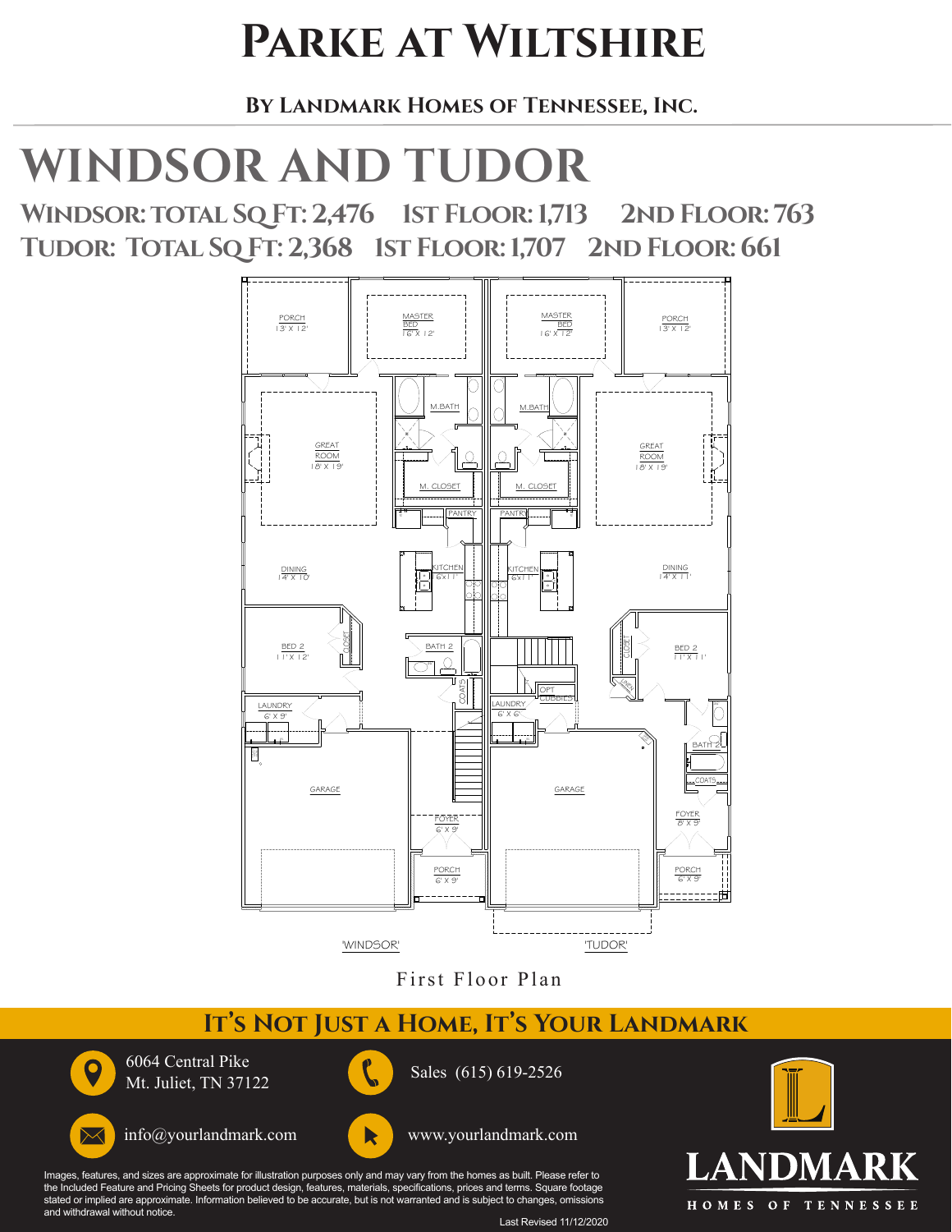### **Parke at Wiltshire**

 **By Landmark Homes of Tennessee, Inc.** 

## **WINDSOR AND TUDOR**

**Windsor: total Sq Ft: 2,476 1st Floor: 1,713 2nd Floor: 763 Tudor: Total Sq Ft: 2,368 1st Floor: 1,707 2nd Floor: 661**



First Floor Plan

#### IT'S NOT JUST A HOME, IT'S YOUR LANDMARK

Sales (615) 619-2526



 $\Join$ 

6064 Central Pike Mt. Juliet, TN 37122





Images, features, and sizes are approximate for illustration purposes only and may vary from the homes as built. Please refer to<br>the Included Feature and Pricing Sheets for product design, features, materials, specificatio stated or implied are approximate. Information believed to be accurate, but is not warranted and is subject to changes, omissions and withdrawal without notice.



Last Revised 11/12/2020